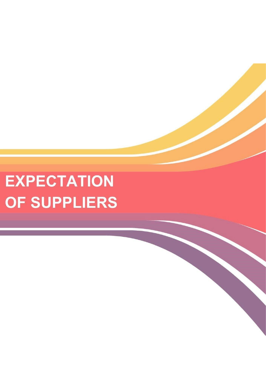# **EXPECTATION** OF SUPPLIERS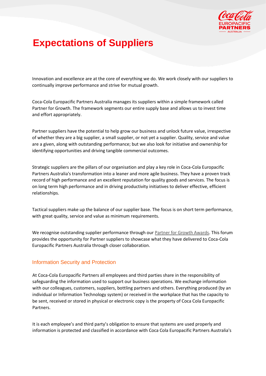

## **Expectations of Suppliers**

Innovation and excellence are at the core of everything we do. We work closely with our suppliers to continually improve performance and strive for mutual growth.

Coca-Cola Europacific Partners Australia manages its suppliers within a simple framework called Partner for Growth. The framework segments our entire supply base and allows us to invest time and effort appropriately.

Partner suppliers have the potential to help grow our business and unlock future value, irrespective of whether they are a big supplier, a small supplier, or not yet a supplier. Quality, service and value are a given, along with outstanding performance; but we also look for initiative and ownership for identifying opportunities and driving tangible commercial outcomes.

Strategic suppliers are the pillars of our organisation and play a key role in Coca-Cola Europacific Partners Australia's transformation into a leaner and more agile business. They have a proven track record of high performance and an excellent reputation for quality goods and services. The focus is on long term high performance and in driving productivity initiatives to deliver effective, efficient relationships.

Tactical suppliers make up the balance of our supplier base. The focus is on short term performance, with great quality, service and value as minimum requirements.

We recognise outstanding supplier performance through our [Partner for Growth Awards.](https://www.ccamatil.com/au/Supplier-information/Partner-for-Growth-Awards) This forum provides the opportunity for Partner suppliers to showcase what they have delivered to Coca-Cola Europacific Partners Australia through closer collaboration.

#### Information Security and Protection

At Coca-Cola Europacific Partners all employees and third parties share in the responsibility of safeguarding the information used to support our business operations. We exchange information with our colleagues, customers, suppliers, bottling partners and others. Everything produced (by an individual or Information Technology system) or received in the workplace that has the capacity to be sent, received or stored in physical or electronic copy is the property of Coca Cola Europacific Partners.

It is each employee's and third party's obligation to ensure that systems are used properly and information is protected and classified in accordance with Coca Cola Europacific Partners Australia's